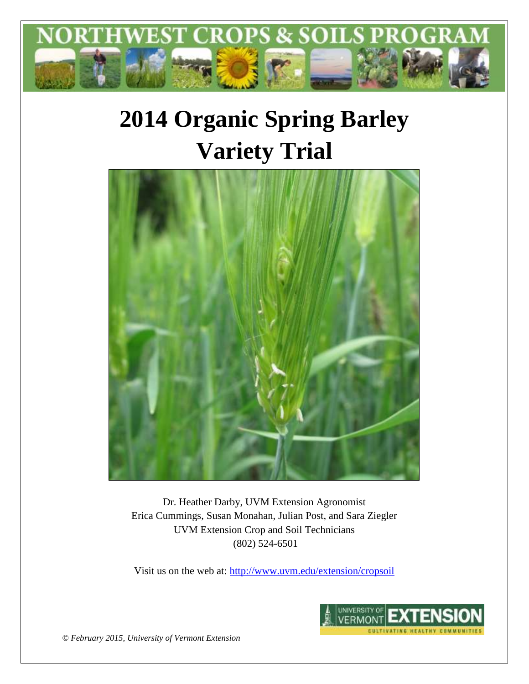

# **2014 Organic Spring Barley Variety Trial**



Dr. Heather Darby, UVM Extension Agronomist Erica Cummings, Susan Monahan, Julian Post, and Sara Ziegler UVM Extension Crop and Soil Technicians (802) 524-6501

Visit us on the web at:<http://www.uvm.edu/extension/cropsoil>



*© February 2015, University of Vermont Extension*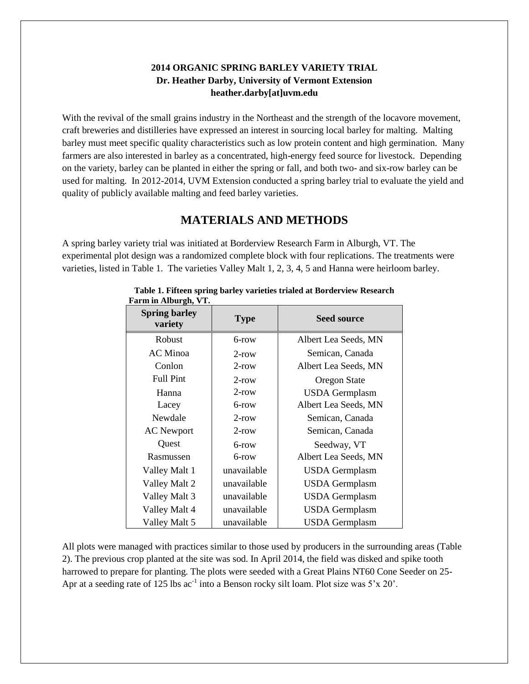## **2014 ORGANIC SPRING BARLEY VARIETY TRIAL Dr. Heather Darby, University of Vermont Extension heather.darby[at]uvm.edu**

With the revival of the small grains industry in the Northeast and the strength of the locavore movement, craft breweries and distilleries have expressed an interest in sourcing local barley for malting. Malting barley must meet specific quality characteristics such as low protein content and high germination. Many farmers are also interested in barley as a concentrated, high-energy feed source for livestock. Depending on the variety, barley can be planted in either the spring or fall, and both two- and six-row barley can be used for malting. In 2012-2014, UVM Extension conducted a spring barley trial to evaluate the yield and quality of publicly available malting and feed barley varieties.

# **MATERIALS AND METHODS**

A spring barley variety trial was initiated at Borderview Research Farm in Alburgh, VT. The experimental plot design was a randomized complete block with four replications. The treatments were varieties, listed in Table 1. The varieties Valley Malt 1, 2, 3, 4, 5 and Hanna were heirloom barley.

| r ar m m / rivai gu, v r .      |             |                       |  |  |
|---------------------------------|-------------|-----------------------|--|--|
| <b>Spring barley</b><br>variety | <b>Type</b> | <b>Seed source</b>    |  |  |
| <b>Robust</b>                   | 6-row       | Albert Lea Seeds, MN  |  |  |
| <b>AC</b> Minoa                 | $2$ -row    | Semican, Canada       |  |  |
| Conlon                          | $2$ -row    | Albert Lea Seeds, MN  |  |  |
| <b>Full Pint</b>                | $2$ -row    | Oregon State          |  |  |
| Hanna                           | $2$ -row    | <b>USDA</b> Germplasm |  |  |
| Lacey                           | 6-row       | Albert Lea Seeds, MN  |  |  |
| Newdale                         | $2$ -row    | Semican, Canada       |  |  |
| <b>AC</b> Newport               | $2$ -row    | Semican, Canada       |  |  |
| Quest                           | $6$ -row    | Seedway, VT           |  |  |
| Rasmussen                       | $6$ -row    | Albert Lea Seeds, MN  |  |  |
| Valley Malt 1                   | unavailable | <b>USDA</b> Germplasm |  |  |
| Valley Malt 2                   | unavailable | <b>USDA</b> Germplasm |  |  |
| Valley Malt 3                   | unavailable | <b>USDA</b> Germplasm |  |  |
| Valley Malt 4                   | unavailable | <b>USDA</b> Germplasm |  |  |
| Valley Malt 5                   | unavailable | <b>USDA</b> Germplasm |  |  |

#### **Table 1. Fifteen spring barley varieties trialed at Borderview Research Farm in Alburgh, VT.**

All plots were managed with practices similar to those used by producers in the surrounding areas (Table 2). The previous crop planted at the site was sod. In April 2014, the field was disked and spike tooth harrowed to prepare for planting. The plots were seeded with a Great Plains NT60 Cone Seeder on 25- Apr at a seeding rate of 125 lbs  $ac^{-1}$  into a Benson rocky silt loam. Plot size was  $5'x 20'$ .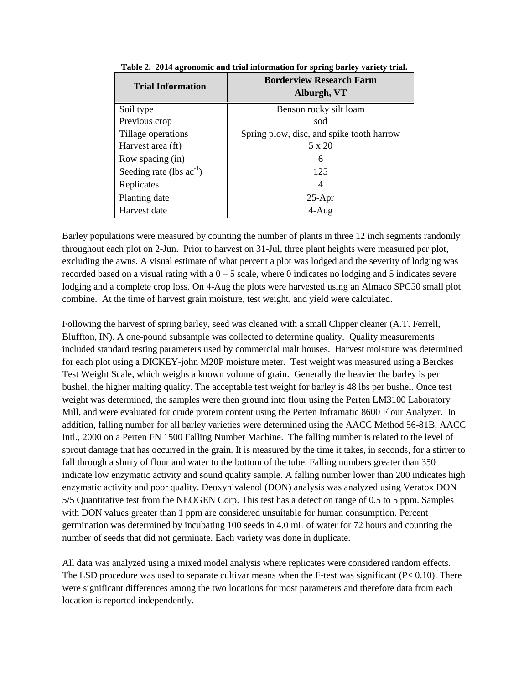| <b>Trial Information</b>      | <b>Borderview Research Farm</b><br>Alburgh, VT |  |  |  |
|-------------------------------|------------------------------------------------|--|--|--|
| Soil type                     | Benson rocky silt loam                         |  |  |  |
| Previous crop                 | sod                                            |  |  |  |
| Tillage operations            | Spring plow, disc, and spike tooth harrow      |  |  |  |
| Harvest area (ft)             | 5 x 20                                         |  |  |  |
| Row spacing (in)              | 6                                              |  |  |  |
| Seeding rate (lbs $ac^{-1}$ ) | 125                                            |  |  |  |
| Replicates                    | 4                                              |  |  |  |
| Planting date                 | $25-Apr$                                       |  |  |  |
| Harvest date                  | $4-Aug$                                        |  |  |  |

|  | Table 2. 2014 agronomic and trial information for spring barley variety trial. |  |  |  |  |
|--|--------------------------------------------------------------------------------|--|--|--|--|
|  |                                                                                |  |  |  |  |

Barley populations were measured by counting the number of plants in three 12 inch segments randomly throughout each plot on 2-Jun. Prior to harvest on 31-Jul, three plant heights were measured per plot, excluding the awns. A visual estimate of what percent a plot was lodged and the severity of lodging was recorded based on a visual rating with a  $0 - 5$  scale, where 0 indicates no lodging and 5 indicates severe lodging and a complete crop loss. On 4-Aug the plots were harvested using an Almaco SPC50 small plot combine. At the time of harvest grain moisture, test weight, and yield were calculated.

Following the harvest of spring barley, seed was cleaned with a small Clipper cleaner (A.T. Ferrell, Bluffton, IN). A one-pound subsample was collected to determine quality. Quality measurements included standard testing parameters used by commercial malt houses. Harvest moisture was determined for each plot using a DICKEY-john M20P moisture meter. Test weight was measured using a Berckes Test Weight Scale, which weighs a known volume of grain. Generally the heavier the barley is per bushel, the higher malting quality. The acceptable test weight for barley is 48 lbs per bushel. Once test weight was determined, the samples were then ground into flour using the Perten LM3100 Laboratory Mill, and were evaluated for crude protein content using the Perten Inframatic 8600 Flour Analyzer. In addition, falling number for all barley varieties were determined using the AACC Method 56-81B, AACC Intl., 2000 on a Perten FN 1500 Falling Number Machine. The falling number is related to the level of sprout damage that has occurred in the grain. It is measured by the time it takes, in seconds, for a stirrer to fall through a slurry of flour and water to the bottom of the tube. Falling numbers greater than 350 indicate low enzymatic activity and sound quality sample. A falling number lower than 200 indicates high enzymatic activity and poor quality. Deoxynivalenol (DON) analysis was analyzed using Veratox DON 5/5 Quantitative test from the NEOGEN Corp. This test has a detection range of 0.5 to 5 ppm. Samples with DON values greater than 1 ppm are considered unsuitable for human consumption. Percent germination was determined by incubating 100 seeds in 4.0 mL of water for 72 hours and counting the number of seeds that did not germinate. Each variety was done in duplicate.

All data was analyzed using a mixed model analysis where replicates were considered random effects. The LSD procedure was used to separate cultivar means when the F-test was significant ( $P < 0.10$ ). There were significant differences among the two locations for most parameters and therefore data from each location is reported independently.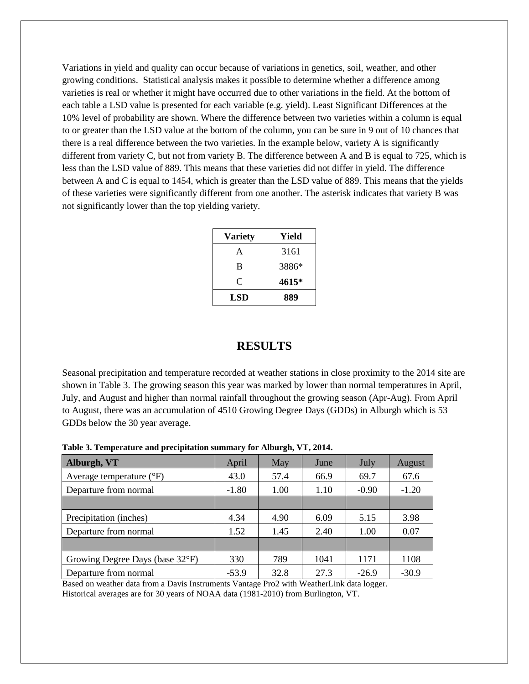Variations in yield and quality can occur because of variations in genetics, soil, weather, and other growing conditions. Statistical analysis makes it possible to determine whether a difference among varieties is real or whether it might have occurred due to other variations in the field. At the bottom of each table a LSD value is presented for each variable (e.g. yield). Least Significant Differences at the 10% level of probability are shown. Where the difference between two varieties within a column is equal to or greater than the LSD value at the bottom of the column, you can be sure in 9 out of 10 chances that there is a real difference between the two varieties. In the example below, variety A is significantly different from variety C, but not from variety B. The difference between A and B is equal to 725, which is less than the LSD value of 889. This means that these varieties did not differ in yield. The difference between A and C is equal to 1454, which is greater than the LSD value of 889. This means that the yields of these varieties were significantly different from one another. The asterisk indicates that variety B was not significantly lower than the top yielding variety.

| <b>Variety</b> | Yield |  |  |
|----------------|-------|--|--|
| A              | 3161  |  |  |
| B              | 3886* |  |  |
| C              | 4615* |  |  |
| LSD            | 889   |  |  |

# **RESULTS**

Seasonal precipitation and temperature recorded at weather stations in close proximity to the 2014 site are shown in Table 3. The growing season this year was marked by lower than normal temperatures in April, July, and August and higher than normal rainfall throughout the growing season (Apr-Aug). From April to August, there was an accumulation of 4510 Growing Degree Days (GDDs) in Alburgh which is 53 GDDs below the 30 year average.

| Alburgh, VT                       | April   | May  | June | July    | August  |
|-----------------------------------|---------|------|------|---------|---------|
| Average temperature $(^{\circ}F)$ | 43.0    | 57.4 | 66.9 | 69.7    | 67.6    |
| Departure from normal             | $-1.80$ | 1.00 | 1.10 | $-0.90$ | $-1.20$ |
|                                   |         |      |      |         |         |
| Precipitation (inches)            | 4.34    | 4.90 | 6.09 | 5.15    | 3.98    |
| Departure from normal             | 1.52    | 1.45 | 2.40 | 1.00    | 0.07    |
|                                   |         |      |      |         |         |
| Growing Degree Days (base 32°F)   | 330     | 789  | 1041 | 1171    | 1108    |
| Departure from normal             | $-53.9$ | 32.8 | 27.3 | $-26.9$ | $-30.9$ |

**Table 3. Temperature and precipitation summary for Alburgh, VT, 2014.**

Based on weather data from a Davis Instruments Vantage Pro2 with WeatherLink data logger. Historical averages are for 30 years of NOAA data (1981-2010) from Burlington, VT.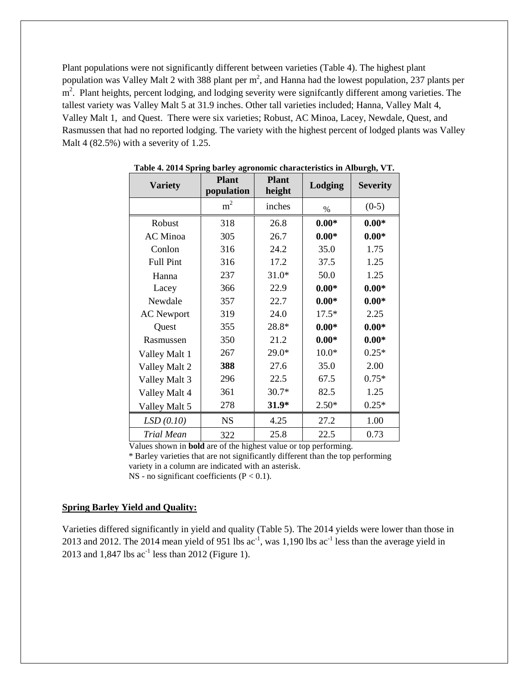Plant populations were not significantly different between varieties (Table 4). The highest plant population was Valley Malt 2 with 388 plant per  $m^2$ , and Hanna had the lowest population, 237 plants per m<sup>2</sup>. Plant heights, percent lodging, and lodging severity were significantly different among varieties. The tallest variety was Valley Malt 5 at 31.9 inches. Other tall varieties included; Hanna, Valley Malt 4, Valley Malt 1, and Quest. There were six varieties; Robust, AC Minoa, Lacey, Newdale, Quest, and Rasmussen that had no reported lodging. The variety with the highest percent of lodged plants was Valley Malt 4 (82.5%) with a severity of 1.25.

| <b>Variety</b>    | <b>Plant</b><br>population | <b>Plant</b><br>height | Lodging | <b>Severity</b> |  |
|-------------------|----------------------------|------------------------|---------|-----------------|--|
|                   | m <sup>2</sup>             | inches                 | $\%$    | $(0-5)$         |  |
| Robust            | 318                        | 26.8                   | $0.00*$ | $0.00*$         |  |
| <b>AC</b> Minoa   | 305                        | 26.7                   | $0.00*$ | $0.00*$         |  |
| Conlon            | 316                        | 24.2                   | 35.0    | 1.75            |  |
| <b>Full Pint</b>  | 316                        | 17.2                   | 37.5    | 1.25            |  |
| Hanna             | 237                        | $31.0*$                | 50.0    | 1.25            |  |
| Lacey             | 366                        | 22.9                   | $0.00*$ | $0.00*$         |  |
| Newdale           | 357                        | 22.7                   | $0.00*$ | $0.00*$         |  |
| <b>AC</b> Newport | 319                        | 24.0                   | $17.5*$ | 2.25            |  |
| Quest             | 355                        | 28.8*                  | $0.00*$ | $0.00*$         |  |
| Rasmussen         | 350                        | 21.2                   | $0.00*$ | $0.00*$         |  |
| Valley Malt 1     | 267                        | $29.0*$                | $10.0*$ | $0.25*$         |  |
| Valley Malt 2     | 388                        | 27.6                   | 35.0    | 2.00            |  |
| Valley Malt 3     | 296                        | 22.5                   | 67.5    | $0.75*$         |  |
| Valley Malt 4     | 361                        | $30.7*$                | 82.5    | 1.25            |  |
| Valley Malt 5     | 278                        | $31.9*$                | $2.50*$ | $0.25*$         |  |
| LSD(0.10)         | <b>NS</b>                  | 4.25                   | 27.2    | 1.00            |  |
| Trial Mean        | 322                        | 25.8                   | 22.5    | 0.73            |  |

**Table 4. 2014 Spring barley agronomic characteristics in Alburgh, VT.**

Values shown in **bold** are of the highest value or top performing.

 \* Barley varieties that are not significantly different than the top performing variety in a column are indicated with an asterisk. NS - no significant coefficients  $(P < 0.1)$ .

### **Spring Barley Yield and Quality:**

Varieties differed significantly in yield and quality (Table 5). The 2014 yields were lower than those in 2013 and 2012. The 2014 mean yield of 951 lbs  $ac^{-1}$ , was 1,190 lbs  $ac^{-1}$  less than the average yield in 2013 and  $1,847$  lbs  $ac^{-1}$  less than 2012 (Figure 1).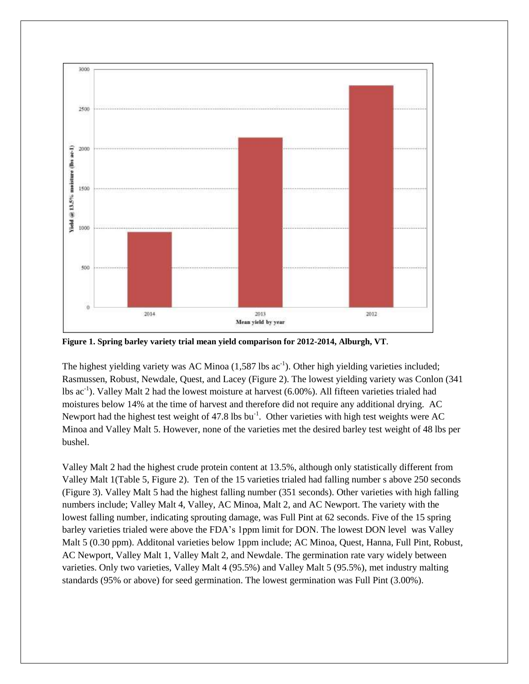

**Figure 1. Spring barley variety trial mean yield comparison for 2012-2014, Alburgh, VT**.

The highest yielding variety was AC Minoa  $(1,587 \text{ lbs} \text{ ac}^{-1})$ . Other high yielding varieties included; Rasmussen, Robust, Newdale, Quest, and Lacey (Figure 2). The lowest yielding variety was Conlon (341 lbs ac<sup>-1</sup>). Valley Malt 2 had the lowest moisture at harvest (6.00%). All fifteen varieties trialed had moistures below 14% at the time of harvest and therefore did not require any additional drying. AC Newport had the highest test weight of 47.8 lbs  $bu^{-1}$ . Other varieties with high test weights were AC Minoa and Valley Malt 5. However, none of the varieties met the desired barley test weight of 48 lbs per bushel.

Valley Malt 2 had the highest crude protein content at 13.5%, although only statistically different from Valley Malt 1(Table 5, Figure 2). Ten of the 15 varieties trialed had falling number s above 250 seconds (Figure 3). Valley Malt 5 had the highest falling number (351 seconds). Other varieties with high falling numbers include; Valley Malt 4, Valley, AC Minoa, Malt 2, and AC Newport. The variety with the lowest falling number, indicating sprouting damage, was Full Pint at 62 seconds. Five of the 15 spring barley varieties trialed were above the FDA's 1ppm limit for DON. The lowest DON level was Valley Malt 5 (0.30 ppm). Additonal varieties below 1ppm include; AC Minoa, Quest, Hanna, Full Pint, Robust, AC Newport, Valley Malt 1, Valley Malt 2, and Newdale. The germination rate vary widely between varieties. Only two varieties, Valley Malt 4 (95.5%) and Valley Malt 5 (95.5%), met industry malting standards (95% or above) for seed germination. The lowest germination was Full Pint (3.00%).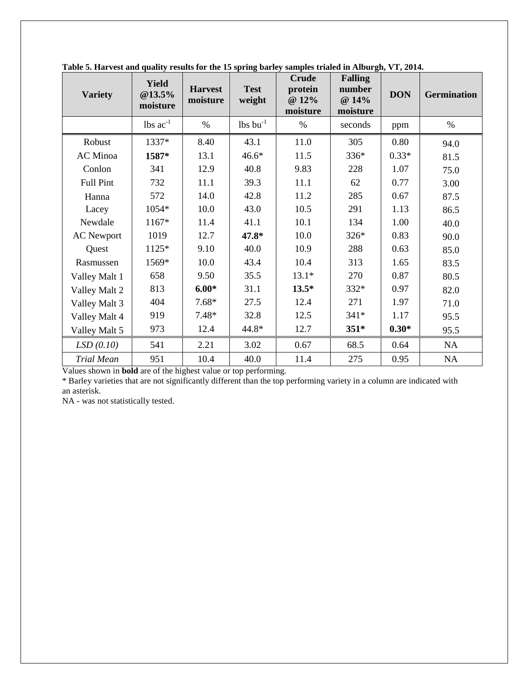| <b>Variety</b>    | <b>Yield</b><br>@13.5%<br>moisture | <b>Harvest</b><br>moisture | <b>Test</b><br>weight         | <b>Crude</b><br>protein<br>@ 12%<br>moisture | <b>Falling</b><br>number<br>@ 14%<br>moisture | <b>DON</b> | <b>Germination</b> |
|-------------------|------------------------------------|----------------------------|-------------------------------|----------------------------------------------|-----------------------------------------------|------------|--------------------|
|                   | $\text{lbs ac}^{-1}$               | $\%$                       | $\text{lbs}$ bu <sup>-1</sup> | $\%$                                         | seconds                                       | ppm        | $\%$               |
| Robust            | 1337*                              | 8.40                       | 43.1                          | 11.0                                         | 305                                           | 0.80       | 94.0               |
| AC Minoa          | 1587*                              | 13.1                       | $46.6*$                       | 11.5                                         | 336*                                          | $0.33*$    | 81.5               |
| Conlon            | 341                                | 12.9                       | 40.8                          | 9.83                                         | 228                                           | 1.07       | 75.0               |
| Full Pint         | 732                                | 11.1                       | 39.3                          | 11.1                                         | 62                                            | 0.77       | 3.00               |
| Hanna             | 572                                | 14.0                       | 42.8                          | 11.2                                         | 285                                           | 0.67       | 87.5               |
| Lacey             | 1054*                              | 10.0                       | 43.0                          | 10.5                                         | 291                                           | 1.13       | 86.5               |
| Newdale           | 1167*                              | 11.4                       | 41.1                          | 10.1                                         | 134                                           | 1.00       | 40.0               |
| <b>AC</b> Newport | 1019                               | 12.7                       | 47.8*                         | 10.0                                         | 326*                                          | 0.83       | 90.0               |
| Quest             | 1125*                              | 9.10                       | 40.0                          | 10.9                                         | 288                                           | 0.63       | 85.0               |
| Rasmussen         | 1569*                              | 10.0                       | 43.4                          | 10.4                                         | 313                                           | 1.65       | 83.5               |
| Valley Malt 1     | 658                                | 9.50                       | 35.5                          | $13.1*$                                      | 270                                           | 0.87       | 80.5               |
| Valley Malt 2     | 813                                | $6.00*$                    | 31.1                          | $13.5*$                                      | 332*                                          | 0.97       | 82.0               |
| Valley Malt 3     | 404                                | $7.68*$                    | 27.5                          | 12.4                                         | 271                                           | 1.97       | 71.0               |
| Valley Malt 4     | 919                                | $7.48*$                    | 32.8                          | 12.5                                         | $341*$                                        | 1.17       | 95.5               |
| Valley Malt 5     | 973                                | 12.4                       | 44.8*                         | 12.7                                         | $351*$                                        | $0.30*$    | 95.5               |
| LSD(0.10)         | 541                                | 2.21                       | 3.02                          | 0.67                                         | 68.5                                          | 0.64       | NA                 |
| <b>Trial Mean</b> | 951                                | 10.4                       | 40.0                          | 11.4                                         | 275                                           | 0.95       | <b>NA</b>          |

**Table 5. Harvest and quality results for the 15 spring barley samples trialed in Alburgh, VT, 2014.**

Values shown in **bold** are of the highest value or top performing.

\* Barley varieties that are not significantly different than the top performing variety in a column are indicated with an asterisk.

NA - was not statistically tested.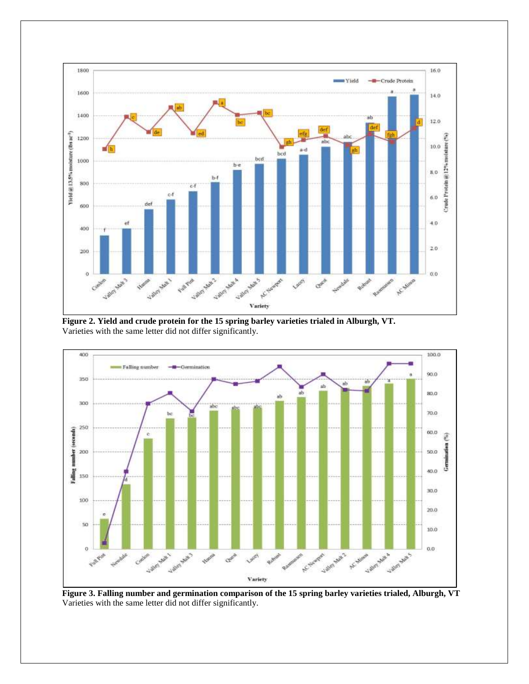

**Figure 2. Yield and crude protein for the 15 spring barley varieties trialed in Alburgh, VT.** Varieties with the same letter did not differ significantly.



**Figure 3. Falling number and germination comparison of the 15 spring barley varieties trialed, Alburgh, VT** Varieties with the same letter did not differ significantly.